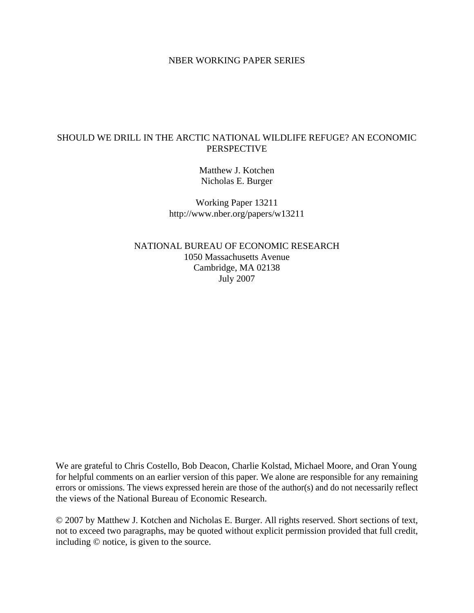## NBER WORKING PAPER SERIES

# SHOULD WE DRILL IN THE ARCTIC NATIONAL WILDLIFE REFUGE? AN ECONOMIC PERSPECTIVE

Matthew J. Kotchen Nicholas E. Burger

Working Paper 13211 http://www.nber.org/papers/w13211

NATIONAL BUREAU OF ECONOMIC RESEARCH 1050 Massachusetts Avenue Cambridge, MA 02138 July 2007

We are grateful to Chris Costello, Bob Deacon, Charlie Kolstad, Michael Moore, and Oran Young for helpful comments on an earlier version of this paper. We alone are responsible for any remaining errors or omissions. The views expressed herein are those of the author(s) and do not necessarily reflect the views of the National Bureau of Economic Research.

© 2007 by Matthew J. Kotchen and Nicholas E. Burger. All rights reserved. Short sections of text, not to exceed two paragraphs, may be quoted without explicit permission provided that full credit, including © notice, is given to the source.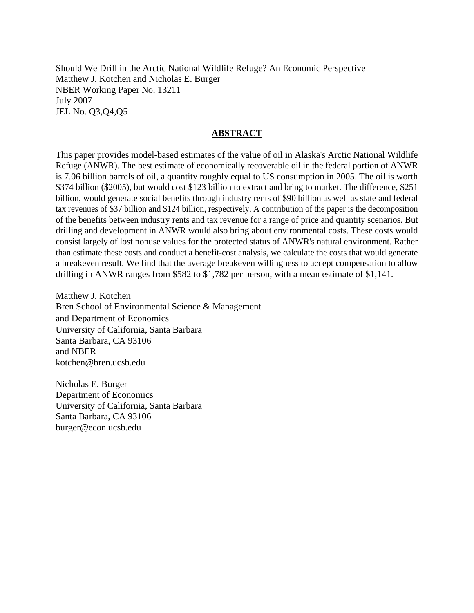Should We Drill in the Arctic National Wildlife Refuge? An Economic Perspective Matthew J. Kotchen and Nicholas E. Burger NBER Working Paper No. 13211 July 2007 JEL No. Q3,Q4,Q5

## **ABSTRACT**

This paper provides model-based estimates of the value of oil in Alaska's Arctic National Wildlife Refuge (ANWR). The best estimate of economically recoverable oil in the federal portion of ANWR is 7.06 billion barrels of oil, a quantity roughly equal to US consumption in 2005. The oil is worth \$374 billion (\$2005), but would cost \$123 billion to extract and bring to market. The difference, \$251 billion, would generate social benefits through industry rents of \$90 billion as well as state and federal tax revenues of \$37 billion and \$124 billion, respectively. A contribution of the paper is the decomposition of the benefits between industry rents and tax revenue for a range of price and quantity scenarios. But drilling and development in ANWR would also bring about environmental costs. These costs would consist largely of lost nonuse values for the protected status of ANWR's natural environment. Rather than estimate these costs and conduct a benefit-cost analysis, we calculate the costs that would generate a breakeven result. We find that the average breakeven willingness to accept compensation to allow drilling in ANWR ranges from \$582 to \$1,782 per person, with a mean estimate of \$1,141.

Matthew J. Kotchen Bren School of Environmental Science & Management and Department of Economics University of California, Santa Barbara Santa Barbara, CA 93106 and NBER kotchen@bren.ucsb.edu

Nicholas E. Burger Department of Economics University of California, Santa Barbara Santa Barbara, CA 93106 burger@econ.ucsb.edu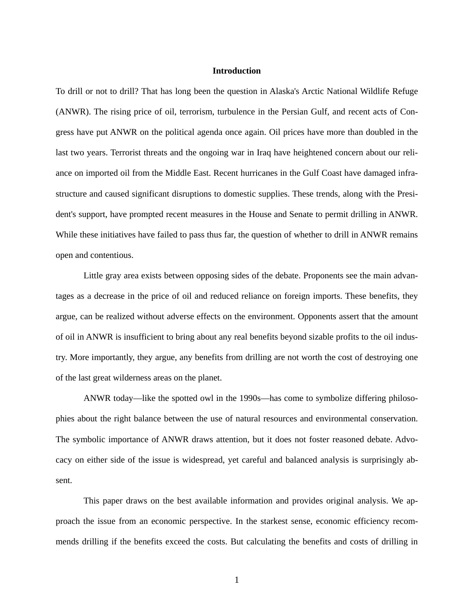## **Introduction**

To drill or not to drill? That has long been the question in Alaska's Arctic National Wildlife Refuge (ANWR). The rising price of oil, terrorism, turbulence in the Persian Gulf, and recent acts of Congress have put ANWR on the political agenda once again. Oil prices have more than doubled in the last two years. Terrorist threats and the ongoing war in Iraq have heightened concern about our reliance on imported oil from the Middle East. Recent hurricanes in the Gulf Coast have damaged infrastructure and caused significant disruptions to domestic supplies. These trends, along with the President's support, have prompted recent measures in the House and Senate to permit drilling in ANWR. While these initiatives have failed to pass thus far, the question of whether to drill in ANWR remains open and contentious.

Little gray area exists between opposing sides of the debate. Proponents see the main advantages as a decrease in the price of oil and reduced reliance on foreign imports. These benefits, they argue, can be realized without adverse effects on the environment. Opponents assert that the amount of oil in ANWR is insufficient to bring about any real benefits beyond sizable profits to the oil industry. More importantly, they argue, any benefits from drilling are not worth the cost of destroying one of the last great wilderness areas on the planet.

ANWR today—like the spotted owl in the 1990s—has come to symbolize differing philosophies about the right balance between the use of natural resources and environmental conservation. The symbolic importance of ANWR draws attention, but it does not foster reasoned debate. Advocacy on either side of the issue is widespread, yet careful and balanced analysis is surprisingly absent.

This paper draws on the best available information and provides original analysis. We approach the issue from an economic perspective. In the starkest sense, economic efficiency recommends drilling if the benefits exceed the costs. But calculating the benefits and costs of drilling in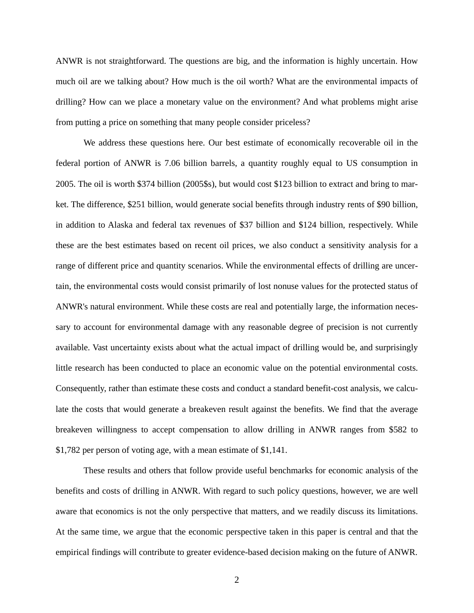ANWR is not straightforward. The questions are big, and the information is highly uncertain. How much oil are we talking about? How much is the oil worth? What are the environmental impacts of drilling? How can we place a monetary value on the environment? And what problems might arise from putting a price on something that many people consider priceless?

We address these questions here. Our best estimate of economically recoverable oil in the federal portion of ANWR is 7.06 billion barrels, a quantity roughly equal to US consumption in 2005. The oil is worth \$374 billion (2005\$s), but would cost \$123 billion to extract and bring to market. The difference, \$251 billion, would generate social benefits through industry rents of \$90 billion, in addition to Alaska and federal tax revenues of \$37 billion and \$124 billion, respectively. While these are the best estimates based on recent oil prices, we also conduct a sensitivity analysis for a range of different price and quantity scenarios. While the environmental effects of drilling are uncertain, the environmental costs would consist primarily of lost nonuse values for the protected status of ANWR's natural environment. While these costs are real and potentially large, the information necessary to account for environmental damage with any reasonable degree of precision is not currently available. Vast uncertainty exists about what the actual impact of drilling would be, and surprisingly little research has been conducted to place an economic value on the potential environmental costs. Consequently, rather than estimate these costs and conduct a standard benefit-cost analysis, we calculate the costs that would generate a breakeven result against the benefits. We find that the average breakeven willingness to accept compensation to allow drilling in ANWR ranges from \$582 to \$1,782 per person of voting age, with a mean estimate of \$1,141.

These results and others that follow provide useful benchmarks for economic analysis of the benefits and costs of drilling in ANWR. With regard to such policy questions, however, we are well aware that economics is not the only perspective that matters, and we readily discuss its limitations. At the same time, we argue that the economic perspective taken in this paper is central and that the empirical findings will contribute to greater evidence-based decision making on the future of ANWR.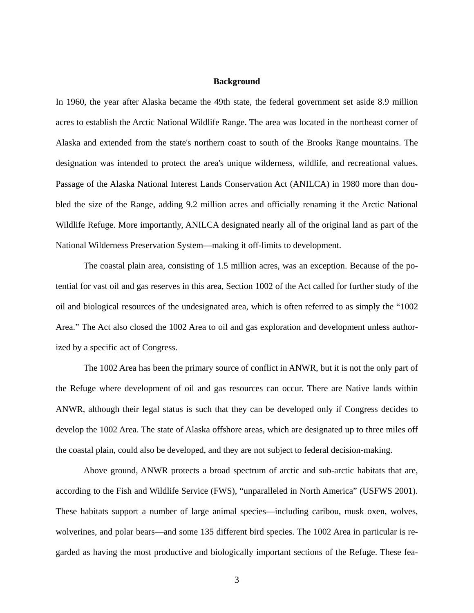#### **Background**

In 1960, the year after Alaska became the 49th state, the federal government set aside 8.9 million acres to establish the Arctic National Wildlife Range. The area was located in the northeast corner of Alaska and extended from the state's northern coast to south of the Brooks Range mountains. The designation was intended to protect the area's unique wilderness, wildlife, and recreational values. Passage of the Alaska National Interest Lands Conservation Act (ANILCA) in 1980 more than doubled the size of the Range, adding 9.2 million acres and officially renaming it the Arctic National Wildlife Refuge. More importantly, ANILCA designated nearly all of the original land as part of the National Wilderness Preservation System—making it off-limits to development.

The coastal plain area, consisting of 1.5 million acres, was an exception. Because of the potential for vast oil and gas reserves in this area, Section 1002 of the Act called for further study of the oil and biological resources of the undesignated area, which is often referred to as simply the "1002 Area." The Act also closed the 1002 Area to oil and gas exploration and development unless authorized by a specific act of Congress.

The 1002 Area has been the primary source of conflict in ANWR, but it is not the only part of the Refuge where development of oil and gas resources can occur. There are Native lands within ANWR, although their legal status is such that they can be developed only if Congress decides to develop the 1002 Area. The state of Alaska offshore areas, which are designated up to three miles off the coastal plain, could also be developed, and they are not subject to federal decision-making.

Above ground, ANWR protects a broad spectrum of arctic and sub-arctic habitats that are, according to the Fish and Wildlife Service (FWS), "unparalleled in North America" (USFWS 2001). These habitats support a number of large animal species—including caribou, musk oxen, wolves, wolverines, and polar bears—and some 135 different bird species. The 1002 Area in particular is regarded as having the most productive and biologically important sections of the Refuge. These fea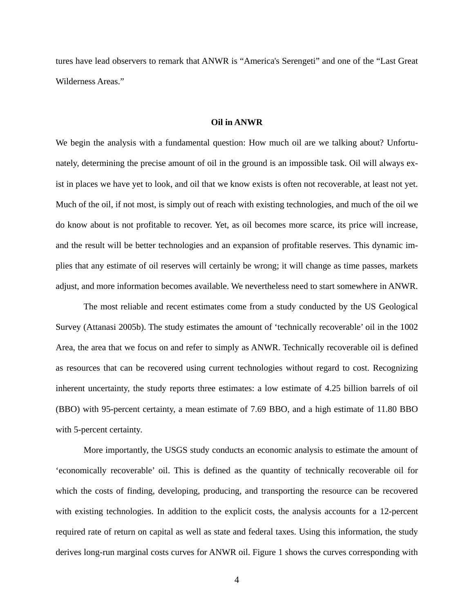tures have lead observers to remark that ANWR is "America's Serengeti" and one of the "Last Great Wilderness Areas."

### **Oil in ANWR**

We begin the analysis with a fundamental question: How much oil are we talking about? Unfortunately, determining the precise amount of oil in the ground is an impossible task. Oil will always exist in places we have yet to look, and oil that we know exists is often not recoverable, at least not yet. Much of the oil, if not most, is simply out of reach with existing technologies, and much of the oil we do know about is not profitable to recover. Yet, as oil becomes more scarce, its price will increase, and the result will be better technologies and an expansion of profitable reserves. This dynamic implies that any estimate of oil reserves will certainly be wrong; it will change as time passes, markets adjust, and more information becomes available. We nevertheless need to start somewhere in ANWR.

The most reliable and recent estimates come from a study conducted by the US Geological Survey (Attanasi 2005b). The study estimates the amount of 'technically recoverable' oil in the 1002 Area, the area that we focus on and refer to simply as ANWR. Technically recoverable oil is defined as resources that can be recovered using current technologies without regard to cost. Recognizing inherent uncertainty, the study reports three estimates: a low estimate of 4.25 billion barrels of oil (BBO) with 95-percent certainty, a mean estimate of 7.69 BBO, and a high estimate of 11.80 BBO with 5-percent certainty.

More importantly, the USGS study conducts an economic analysis to estimate the amount of 'economically recoverable' oil. This is defined as the quantity of technically recoverable oil for which the costs of finding, developing, producing, and transporting the resource can be recovered with existing technologies. In addition to the explicit costs, the analysis accounts for a 12-percent required rate of return on capital as well as state and federal taxes. Using this information, the study derives long-run marginal costs curves for ANWR oil. Figure 1 shows the curves corresponding with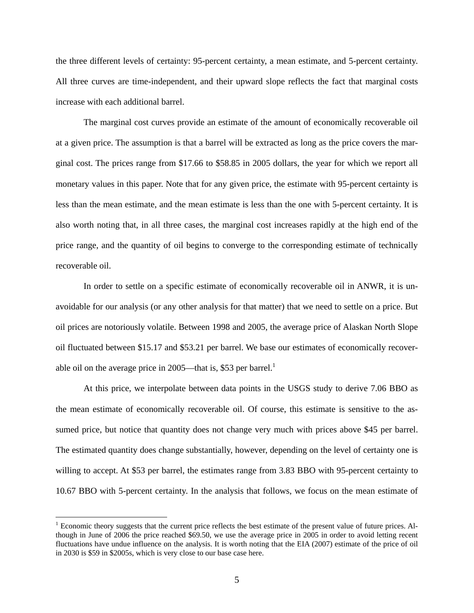the three different levels of certainty: 95-percent certainty, a mean estimate, and 5-percent certainty. All three curves are time-independent, and their upward slope reflects the fact that marginal costs increase with each additional barrel.

The marginal cost curves provide an estimate of the amount of economically recoverable oil at a given price. The assumption is that a barrel will be extracted as long as the price covers the marginal cost. The prices range from \$17.66 to \$58.85 in 2005 dollars, the year for which we report all monetary values in this paper. Note that for any given price, the estimate with 95-percent certainty is less than the mean estimate, and the mean estimate is less than the one with 5-percent certainty. It is also worth noting that, in all three cases, the marginal cost increases rapidly at the high end of the price range, and the quantity of oil begins to converge to the corresponding estimate of technically recoverable oil.

In order to settle on a specific estimate of economically recoverable oil in ANWR, it is unavoidable for our analysis (or any other analysis for that matter) that we need to settle on a price. But oil prices are notoriously volatile. Between 1998 and 2005, the average price of Alaskan North Slope oil fluctuated between \$15.17 and \$53.21 per barrel. We base our estimates of economically recoverable oil on the average price in 2005—that is, \$53 per barrel.<sup>1</sup>

At this price, we interpolate between data points in the USGS study to derive 7.06 BBO as the mean estimate of economically recoverable oil. Of course, this estimate is sensitive to the assumed price, but notice that quantity does not change very much with prices above \$45 per barrel. The estimated quantity does change substantially, however, depending on the level of certainty one is willing to accept. At \$53 per barrel, the estimates range from 3.83 BBO with 95-percent certainty to 10.67 BBO with 5-percent certainty. In the analysis that follows, we focus on the mean estimate of

 $<sup>1</sup>$  Economic theory suggests that the current price reflects the best estimate of the present value of future prices. Al-</sup> though in June of 2006 the price reached \$69.50, we use the average price in 2005 in order to avoid letting recent fluctuations have undue influence on the analysis. It is worth noting that the EIA (2007) estimate of the price of oil in 2030 is \$59 in \$2005s, which is very close to our base case here.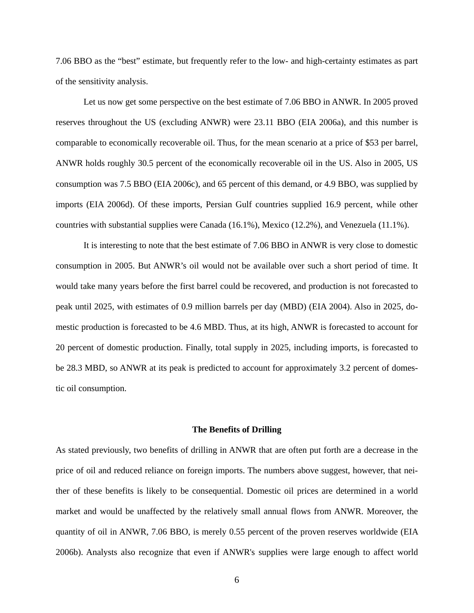7.06 BBO as the "best" estimate, but frequently refer to the low- and high-certainty estimates as part of the sensitivity analysis.

Let us now get some perspective on the best estimate of 7.06 BBO in ANWR. In 2005 proved reserves throughout the US (excluding ANWR) were 23.11 BBO (EIA 2006a), and this number is comparable to economically recoverable oil. Thus, for the mean scenario at a price of \$53 per barrel, ANWR holds roughly 30.5 percent of the economically recoverable oil in the US. Also in 2005, US consumption was 7.5 BBO (EIA 2006c), and 65 percent of this demand, or 4.9 BBO, was supplied by imports (EIA 2006d). Of these imports, Persian Gulf countries supplied 16.9 percent, while other countries with substantial supplies were Canada (16.1%), Mexico (12.2%), and Venezuela (11.1%).

It is interesting to note that the best estimate of 7.06 BBO in ANWR is very close to domestic consumption in 2005. But ANWR's oil would not be available over such a short period of time. It would take many years before the first barrel could be recovered, and production is not forecasted to peak until 2025, with estimates of 0.9 million barrels per day (MBD) (EIA 2004). Also in 2025, domestic production is forecasted to be 4.6 MBD. Thus, at its high, ANWR is forecasted to account for 20 percent of domestic production. Finally, total supply in 2025, including imports, is forecasted to be 28.3 MBD, so ANWR at its peak is predicted to account for approximately 3.2 percent of domestic oil consumption.

## **The Benefits of Drilling**

As stated previously, two benefits of drilling in ANWR that are often put forth are a decrease in the price of oil and reduced reliance on foreign imports. The numbers above suggest, however, that neither of these benefits is likely to be consequential. Domestic oil prices are determined in a world market and would be unaffected by the relatively small annual flows from ANWR. Moreover, the quantity of oil in ANWR, 7.06 BBO, is merely 0.55 percent of the proven reserves worldwide (EIA 2006b). Analysts also recognize that even if ANWR's supplies were large enough to affect world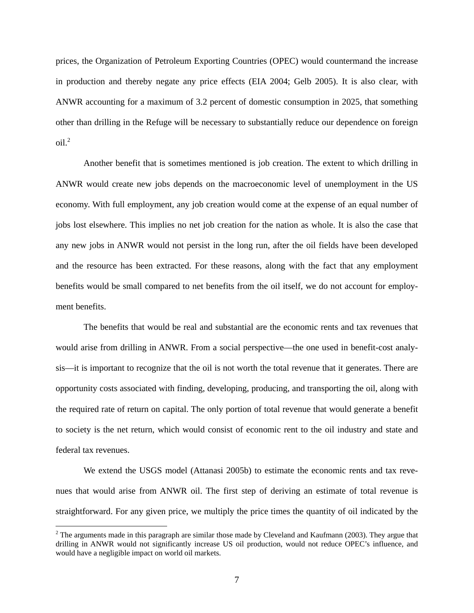prices, the Organization of Petroleum Exporting Countries (OPEC) would countermand the increase in production and thereby negate any price effects (EIA 2004; Gelb 2005). It is also clear, with ANWR accounting for a maximum of 3.2 percent of domestic consumption in 2025, that something other than drilling in the Refuge will be necessary to substantially reduce our dependence on foreign  $\text{oil.}^2$ 

Another benefit that is sometimes mentioned is job creation. The extent to which drilling in ANWR would create new jobs depends on the macroeconomic level of unemployment in the US economy. With full employment, any job creation would come at the expense of an equal number of jobs lost elsewhere. This implies no net job creation for the nation as whole. It is also the case that any new jobs in ANWR would not persist in the long run, after the oil fields have been developed and the resource has been extracted. For these reasons, along with the fact that any employment benefits would be small compared to net benefits from the oil itself, we do not account for employment benefits.

The benefits that would be real and substantial are the economic rents and tax revenues that would arise from drilling in ANWR. From a social perspective—the one used in benefit-cost analysis—it is important to recognize that the oil is not worth the total revenue that it generates. There are opportunity costs associated with finding, developing, producing, and transporting the oil, along with the required rate of return on capital. The only portion of total revenue that would generate a benefit to society is the net return, which would consist of economic rent to the oil industry and state and federal tax revenues.

We extend the USGS model (Attanasi 2005b) to estimate the economic rents and tax revenues that would arise from ANWR oil. The first step of deriving an estimate of total revenue is straightforward. For any given price, we multiply the price times the quantity of oil indicated by the

 $2^2$  The arguments made in this paragraph are similar those made by Cleveland and Kaufmann (2003). They argue that drilling in ANWR would not significantly increase US oil production, would not reduce OPEC's influence, and would have a negligible impact on world oil markets.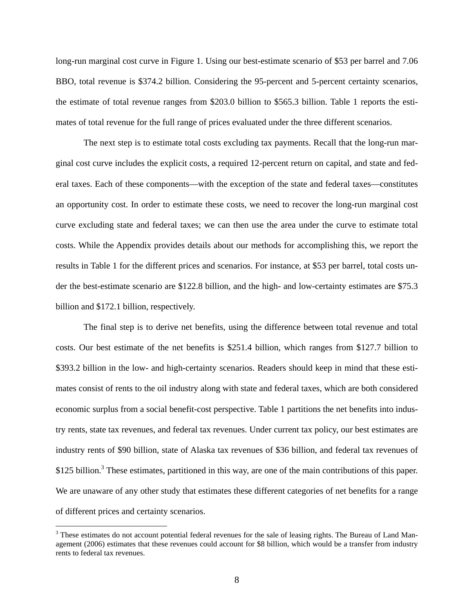long-run marginal cost curve in Figure 1. Using our best-estimate scenario of \$53 per barrel and 7.06 BBO, total revenue is \$374.2 billion. Considering the 95-percent and 5-percent certainty scenarios, the estimate of total revenue ranges from \$203.0 billion to \$565.3 billion. Table 1 reports the estimates of total revenue for the full range of prices evaluated under the three different scenarios.

The next step is to estimate total costs excluding tax payments. Recall that the long-run marginal cost curve includes the explicit costs, a required 12-percent return on capital, and state and federal taxes. Each of these components—with the exception of the state and federal taxes—constitutes an opportunity cost. In order to estimate these costs, we need to recover the long-run marginal cost curve excluding state and federal taxes; we can then use the area under the curve to estimate total costs. While the Appendix provides details about our methods for accomplishing this, we report the results in Table 1 for the different prices and scenarios. For instance, at \$53 per barrel, total costs under the best-estimate scenario are \$122.8 billion, and the high- and low-certainty estimates are \$75.3 billion and \$172.1 billion, respectively.

The final step is to derive net benefits, using the difference between total revenue and total costs. Our best estimate of the net benefits is \$251.4 billion, which ranges from \$127.7 billion to \$393.2 billion in the low- and high-certainty scenarios. Readers should keep in mind that these estimates consist of rents to the oil industry along with state and federal taxes, which are both considered economic surplus from a social benefit-cost perspective. Table 1 partitions the net benefits into industry rents, state tax revenues, and federal tax revenues. Under current tax policy, our best estimates are industry rents of \$90 billion, state of Alaska tax revenues of \$36 billion, and federal tax revenues of \$125 billion.<sup>3</sup> These estimates, partitioned in this way, are one of the main contributions of this paper. We are unaware of any other study that estimates these different categories of net benefits for a range of different prices and certainty scenarios.

 $3$  These estimates do not account potential federal revenues for the sale of leasing rights. The Bureau of Land Management (2006) estimates that these revenues could account for \$8 billion, which would be a transfer from industry rents to federal tax revenues.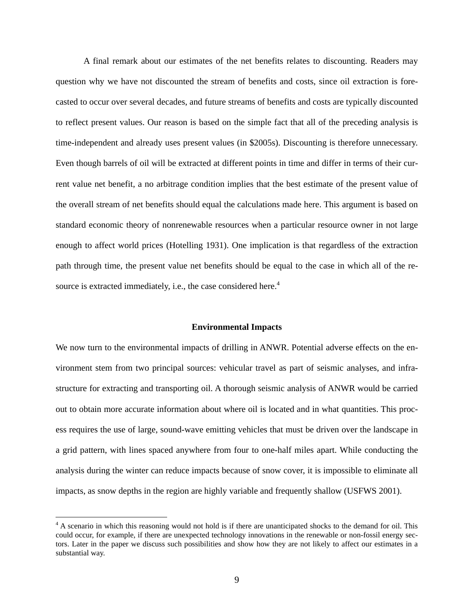A final remark about our estimates of the net benefits relates to discounting. Readers may question why we have not discounted the stream of benefits and costs, since oil extraction is forecasted to occur over several decades, and future streams of benefits and costs are typically discounted to reflect present values. Our reason is based on the simple fact that all of the preceding analysis is time-independent and already uses present values (in \$2005s). Discounting is therefore unnecessary. Even though barrels of oil will be extracted at different points in time and differ in terms of their current value net benefit, a no arbitrage condition implies that the best estimate of the present value of the overall stream of net benefits should equal the calculations made here. This argument is based on standard economic theory of nonrenewable resources when a particular resource owner in not large enough to affect world prices (Hotelling 1931). One implication is that regardless of the extraction path through time, the present value net benefits should be equal to the case in which all of the resource is extracted immediately, i.e., the case considered here.<sup>4</sup>

### **Environmental Impacts**

We now turn to the environmental impacts of drilling in ANWR. Potential adverse effects on the environment stem from two principal sources: vehicular travel as part of seismic analyses, and infrastructure for extracting and transporting oil. A thorough seismic analysis of ANWR would be carried out to obtain more accurate information about where oil is located and in what quantities. This process requires the use of large, sound-wave emitting vehicles that must be driven over the landscape in a grid pattern, with lines spaced anywhere from four to one-half miles apart. While conducting the analysis during the winter can reduce impacts because of snow cover, it is impossible to eliminate all impacts, as snow depths in the region are highly variable and frequently shallow (USFWS 2001).

<sup>&</sup>lt;sup>4</sup> A scenario in which this reasoning would not hold is if there are unanticipated shocks to the demand for oil. This could occur, for example, if there are unexpected technology innovations in the renewable or non-fossil energy sectors. Later in the paper we discuss such possibilities and show how they are not likely to affect our estimates in a substantial way.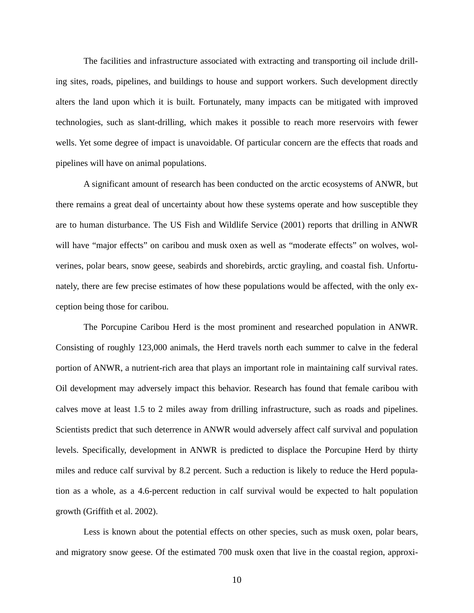The facilities and infrastructure associated with extracting and transporting oil include drilling sites, roads, pipelines, and buildings to house and support workers. Such development directly alters the land upon which it is built. Fortunately, many impacts can be mitigated with improved technologies, such as slant-drilling, which makes it possible to reach more reservoirs with fewer wells. Yet some degree of impact is unavoidable. Of particular concern are the effects that roads and pipelines will have on animal populations.

A significant amount of research has been conducted on the arctic ecosystems of ANWR, but there remains a great deal of uncertainty about how these systems operate and how susceptible they are to human disturbance. The US Fish and Wildlife Service (2001) reports that drilling in ANWR will have "major effects" on caribou and musk oxen as well as "moderate effects" on wolves, wolverines, polar bears, snow geese, seabirds and shorebirds, arctic grayling, and coastal fish. Unfortunately, there are few precise estimates of how these populations would be affected, with the only exception being those for caribou.

The Porcupine Caribou Herd is the most prominent and researched population in ANWR. Consisting of roughly 123,000 animals, the Herd travels north each summer to calve in the federal portion of ANWR, a nutrient-rich area that plays an important role in maintaining calf survival rates. Oil development may adversely impact this behavior. Research has found that female caribou with calves move at least 1.5 to 2 miles away from drilling infrastructure, such as roads and pipelines. Scientists predict that such deterrence in ANWR would adversely affect calf survival and population levels. Specifically, development in ANWR is predicted to displace the Porcupine Herd by thirty miles and reduce calf survival by 8.2 percent. Such a reduction is likely to reduce the Herd population as a whole, as a 4.6-percent reduction in calf survival would be expected to halt population growth (Griffith et al. 2002).

Less is known about the potential effects on other species, such as musk oxen, polar bears, and migratory snow geese. Of the estimated 700 musk oxen that live in the coastal region, approxi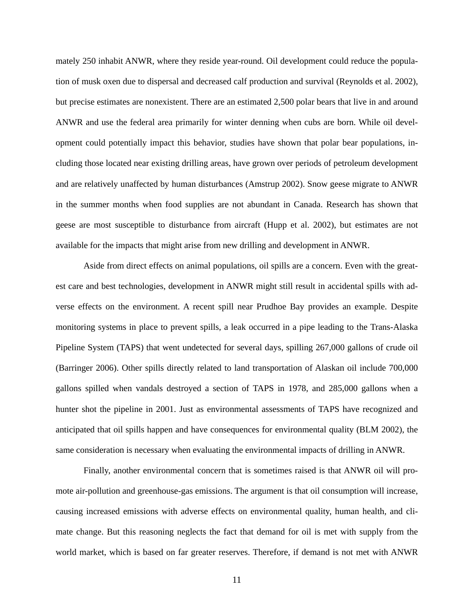mately 250 inhabit ANWR, where they reside year-round. Oil development could reduce the population of musk oxen due to dispersal and decreased calf production and survival (Reynolds et al. 2002), but precise estimates are nonexistent. There are an estimated 2,500 polar bears that live in and around ANWR and use the federal area primarily for winter denning when cubs are born. While oil development could potentially impact this behavior, studies have shown that polar bear populations, including those located near existing drilling areas, have grown over periods of petroleum development and are relatively unaffected by human disturbances (Amstrup 2002). Snow geese migrate to ANWR in the summer months when food supplies are not abundant in Canada. Research has shown that geese are most susceptible to disturbance from aircraft (Hupp et al. 2002), but estimates are not available for the impacts that might arise from new drilling and development in ANWR.

Aside from direct effects on animal populations, oil spills are a concern. Even with the greatest care and best technologies, development in ANWR might still result in accidental spills with adverse effects on the environment. A recent spill near Prudhoe Bay provides an example. Despite monitoring systems in place to prevent spills, a leak occurred in a pipe leading to the Trans-Alaska Pipeline System (TAPS) that went undetected for several days, spilling 267,000 gallons of crude oil (Barringer 2006). Other spills directly related to land transportation of Alaskan oil include 700,000 gallons spilled when vandals destroyed a section of TAPS in 1978, and 285,000 gallons when a hunter shot the pipeline in 2001. Just as environmental assessments of TAPS have recognized and anticipated that oil spills happen and have consequences for environmental quality (BLM 2002), the same consideration is necessary when evaluating the environmental impacts of drilling in ANWR.

Finally, another environmental concern that is sometimes raised is that ANWR oil will promote air-pollution and greenhouse-gas emissions. The argument is that oil consumption will increase, causing increased emissions with adverse effects on environmental quality, human health, and climate change. But this reasoning neglects the fact that demand for oil is met with supply from the world market, which is based on far greater reserves. Therefore, if demand is not met with ANWR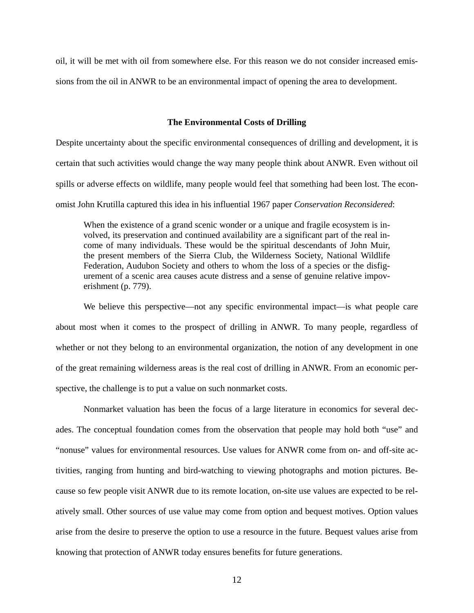oil, it will be met with oil from somewhere else. For this reason we do not consider increased emissions from the oil in ANWR to be an environmental impact of opening the area to development.

#### **The Environmental Costs of Drilling**

Despite uncertainty about the specific environmental consequences of drilling and development, it is certain that such activities would change the way many people think about ANWR. Even without oil spills or adverse effects on wildlife, many people would feel that something had been lost. The economist John Krutilla captured this idea in his influential 1967 paper *Conservation Reconsidered*:

When the existence of a grand scenic wonder or a unique and fragile ecosystem is involved, its preservation and continued availability are a significant part of the real income of many individuals. These would be the spiritual descendants of John Muir, the present members of the Sierra Club, the Wilderness Society, National Wildlife Federation, Audubon Society and others to whom the loss of a species or the disfigurement of a scenic area causes acute distress and a sense of genuine relative impoverishment (p. 779).

We believe this perspective—not any specific environmental impact—is what people care about most when it comes to the prospect of drilling in ANWR. To many people, regardless of whether or not they belong to an environmental organization, the notion of any development in one of the great remaining wilderness areas is the real cost of drilling in ANWR. From an economic perspective, the challenge is to put a value on such nonmarket costs.

Nonmarket valuation has been the focus of a large literature in economics for several decades. The conceptual foundation comes from the observation that people may hold both "use" and "nonuse" values for environmental resources. Use values for ANWR come from on- and off-site activities, ranging from hunting and bird-watching to viewing photographs and motion pictures. Because so few people visit ANWR due to its remote location, on-site use values are expected to be relatively small. Other sources of use value may come from option and bequest motives. Option values arise from the desire to preserve the option to use a resource in the future. Bequest values arise from knowing that protection of ANWR today ensures benefits for future generations.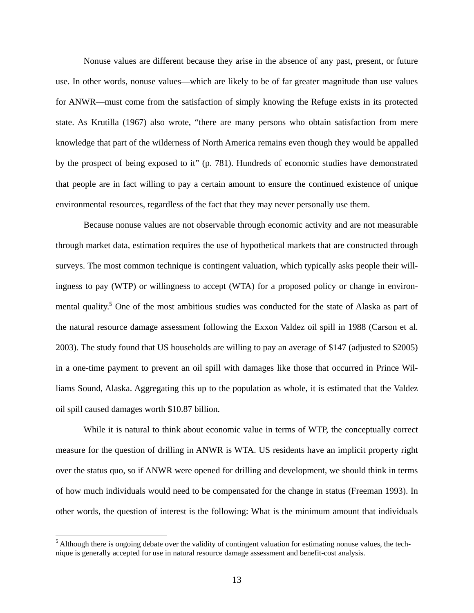Nonuse values are different because they arise in the absence of any past, present, or future use. In other words, nonuse values—which are likely to be of far greater magnitude than use values for ANWR—must come from the satisfaction of simply knowing the Refuge exists in its protected state. As Krutilla (1967) also wrote, "there are many persons who obtain satisfaction from mere knowledge that part of the wilderness of North America remains even though they would be appalled by the prospect of being exposed to it" (p. 781). Hundreds of economic studies have demonstrated that people are in fact willing to pay a certain amount to ensure the continued existence of unique environmental resources, regardless of the fact that they may never personally use them.

Because nonuse values are not observable through economic activity and are not measurable through market data, estimation requires the use of hypothetical markets that are constructed through surveys. The most common technique is contingent valuation, which typically asks people their willingness to pay (WTP) or willingness to accept (WTA) for a proposed policy or change in environmental quality.<sup>5</sup> One of the most ambitious studies was conducted for the state of Alaska as part of the natural resource damage assessment following the Exxon Valdez oil spill in 1988 (Carson et al. 2003). The study found that US households are willing to pay an average of \$147 (adjusted to \$2005) in a one-time payment to prevent an oil spill with damages like those that occurred in Prince Williams Sound, Alaska. Aggregating this up to the population as whole, it is estimated that the Valdez oil spill caused damages worth \$10.87 billion.

While it is natural to think about economic value in terms of WTP, the conceptually correct measure for the question of drilling in ANWR is WTA. US residents have an implicit property right over the status quo, so if ANWR were opened for drilling and development, we should think in terms of how much individuals would need to be compensated for the change in status (Freeman 1993). In other words, the question of interest is the following: What is the minimum amount that individuals

 $<sup>5</sup>$  Although there is ongoing debate over the validity of contingent valuation for estimating nonuse values, the tech-</sup> nique is generally accepted for use in natural resource damage assessment and benefit-cost analysis.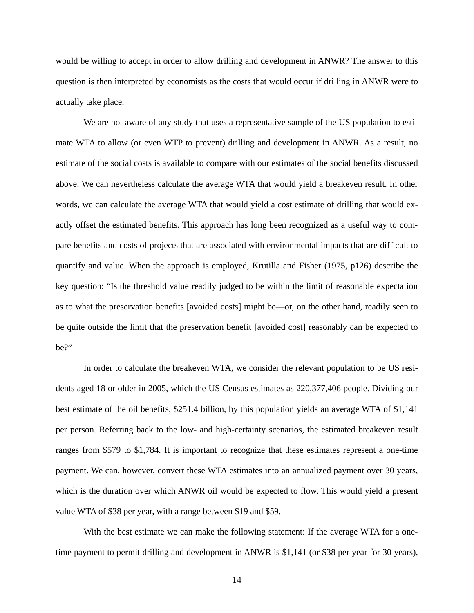would be willing to accept in order to allow drilling and development in ANWR? The answer to this question is then interpreted by economists as the costs that would occur if drilling in ANWR were to actually take place.

We are not aware of any study that uses a representative sample of the US population to estimate WTA to allow (or even WTP to prevent) drilling and development in ANWR. As a result, no estimate of the social costs is available to compare with our estimates of the social benefits discussed above. We can nevertheless calculate the average WTA that would yield a breakeven result. In other words, we can calculate the average WTA that would yield a cost estimate of drilling that would exactly offset the estimated benefits. This approach has long been recognized as a useful way to compare benefits and costs of projects that are associated with environmental impacts that are difficult to quantify and value. When the approach is employed, Krutilla and Fisher (1975, p126) describe the key question: "Is the threshold value readily judged to be within the limit of reasonable expectation as to what the preservation benefits [avoided costs] might be—or, on the other hand, readily seen to be quite outside the limit that the preservation benefit [avoided cost] reasonably can be expected to be?"

In order to calculate the breakeven WTA, we consider the relevant population to be US residents aged 18 or older in 2005, which the US Census estimates as 220,377,406 people. Dividing our best estimate of the oil benefits, \$251.4 billion, by this population yields an average WTA of \$1,141 per person. Referring back to the low- and high-certainty scenarios, the estimated breakeven result ranges from \$579 to \$1,784. It is important to recognize that these estimates represent a one-time payment. We can, however, convert these WTA estimates into an annualized payment over 30 years, which is the duration over which ANWR oil would be expected to flow. This would yield a present value WTA of \$38 per year, with a range between \$19 and \$59.

With the best estimate we can make the following statement: If the average WTA for a onetime payment to permit drilling and development in ANWR is \$1,141 (or \$38 per year for 30 years),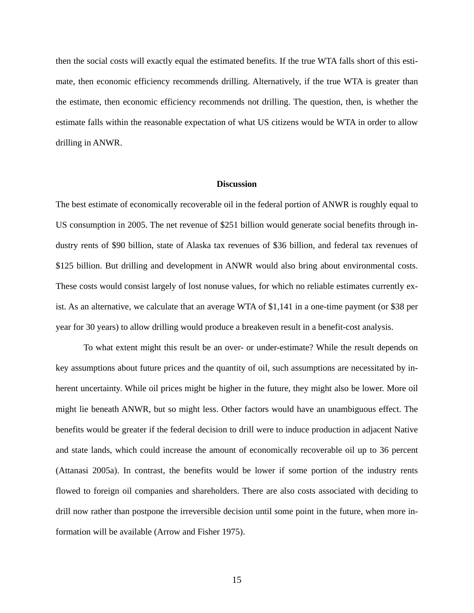then the social costs will exactly equal the estimated benefits. If the true WTA falls short of this estimate, then economic efficiency recommends drilling. Alternatively, if the true WTA is greater than the estimate, then economic efficiency recommends not drilling. The question, then, is whether the estimate falls within the reasonable expectation of what US citizens would be WTA in order to allow drilling in ANWR.

### **Discussion**

The best estimate of economically recoverable oil in the federal portion of ANWR is roughly equal to US consumption in 2005. The net revenue of \$251 billion would generate social benefits through industry rents of \$90 billion, state of Alaska tax revenues of \$36 billion, and federal tax revenues of \$125 billion. But drilling and development in ANWR would also bring about environmental costs. These costs would consist largely of lost nonuse values, for which no reliable estimates currently exist. As an alternative, we calculate that an average WTA of \$1,141 in a one-time payment (or \$38 per year for 30 years) to allow drilling would produce a breakeven result in a benefit-cost analysis.

To what extent might this result be an over- or under-estimate? While the result depends on key assumptions about future prices and the quantity of oil, such assumptions are necessitated by inherent uncertainty. While oil prices might be higher in the future, they might also be lower. More oil might lie beneath ANWR, but so might less. Other factors would have an unambiguous effect. The benefits would be greater if the federal decision to drill were to induce production in adjacent Native and state lands, which could increase the amount of economically recoverable oil up to 36 percent (Attanasi 2005a). In contrast, the benefits would be lower if some portion of the industry rents flowed to foreign oil companies and shareholders. There are also costs associated with deciding to drill now rather than postpone the irreversible decision until some point in the future, when more information will be available (Arrow and Fisher 1975).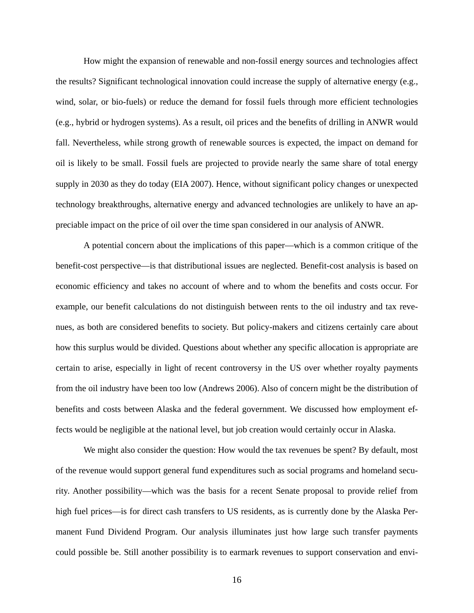How might the expansion of renewable and non-fossil energy sources and technologies affect the results? Significant technological innovation could increase the supply of alternative energy (e.g., wind, solar, or bio-fuels) or reduce the demand for fossil fuels through more efficient technologies (e.g., hybrid or hydrogen systems). As a result, oil prices and the benefits of drilling in ANWR would fall. Nevertheless, while strong growth of renewable sources is expected, the impact on demand for oil is likely to be small. Fossil fuels are projected to provide nearly the same share of total energy supply in 2030 as they do today (EIA 2007). Hence, without significant policy changes or unexpected technology breakthroughs, alternative energy and advanced technologies are unlikely to have an appreciable impact on the price of oil over the time span considered in our analysis of ANWR.

A potential concern about the implications of this paper—which is a common critique of the benefit-cost perspective—is that distributional issues are neglected. Benefit-cost analysis is based on economic efficiency and takes no account of where and to whom the benefits and costs occur. For example, our benefit calculations do not distinguish between rents to the oil industry and tax revenues, as both are considered benefits to society. But policy-makers and citizens certainly care about how this surplus would be divided. Questions about whether any specific allocation is appropriate are certain to arise, especially in light of recent controversy in the US over whether royalty payments from the oil industry have been too low (Andrews 2006). Also of concern might be the distribution of benefits and costs between Alaska and the federal government. We discussed how employment effects would be negligible at the national level, but job creation would certainly occur in Alaska.

We might also consider the question: How would the tax revenues be spent? By default, most of the revenue would support general fund expenditures such as social programs and homeland security. Another possibility—which was the basis for a recent Senate proposal to provide relief from high fuel prices—is for direct cash transfers to US residents, as is currently done by the Alaska Permanent Fund Dividend Program. Our analysis illuminates just how large such transfer payments could possible be. Still another possibility is to earmark revenues to support conservation and envi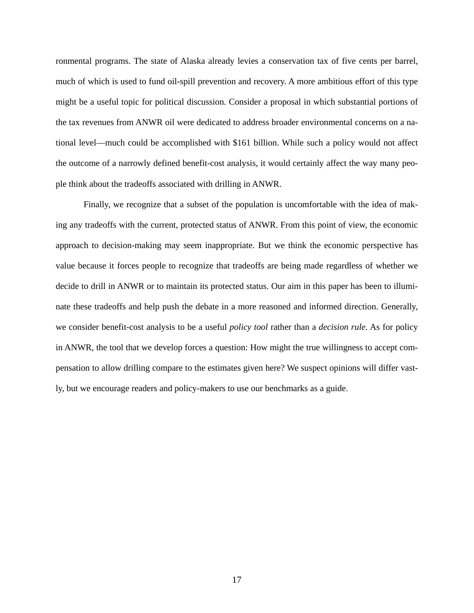ronmental programs. The state of Alaska already levies a conservation tax of five cents per barrel, much of which is used to fund oil-spill prevention and recovery. A more ambitious effort of this type might be a useful topic for political discussion. Consider a proposal in which substantial portions of the tax revenues from ANWR oil were dedicated to address broader environmental concerns on a national level—much could be accomplished with \$161 billion. While such a policy would not affect the outcome of a narrowly defined benefit-cost analysis, it would certainly affect the way many people think about the tradeoffs associated with drilling in ANWR.

Finally, we recognize that a subset of the population is uncomfortable with the idea of making any tradeoffs with the current, protected status of ANWR. From this point of view, the economic approach to decision-making may seem inappropriate. But we think the economic perspective has value because it forces people to recognize that tradeoffs are being made regardless of whether we decide to drill in ANWR or to maintain its protected status. Our aim in this paper has been to illuminate these tradeoffs and help push the debate in a more reasoned and informed direction. Generally, we consider benefit-cost analysis to be a useful *policy tool* rather than a *decision rule*. As for policy in ANWR, the tool that we develop forces a question: How might the true willingness to accept compensation to allow drilling compare to the estimates given here? We suspect opinions will differ vastly, but we encourage readers and policy-makers to use our benchmarks as a guide.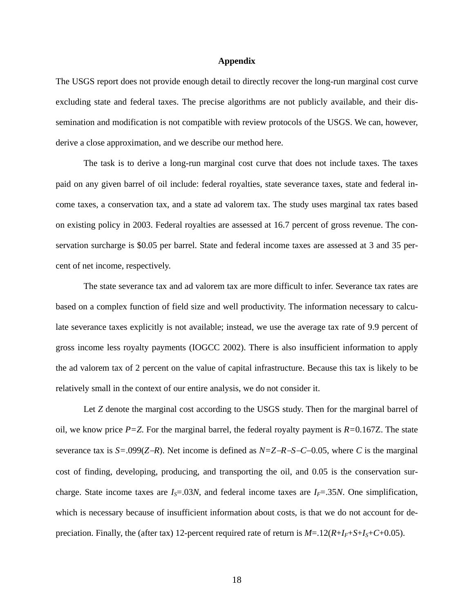### **Appendix**

The USGS report does not provide enough detail to directly recover the long-run marginal cost curve excluding state and federal taxes. The precise algorithms are not publicly available, and their dissemination and modification is not compatible with review protocols of the USGS. We can, however, derive a close approximation, and we describe our method here.

The task is to derive a long-run marginal cost curve that does not include taxes. The taxes paid on any given barrel of oil include: federal royalties, state severance taxes, state and federal income taxes, a conservation tax, and a state ad valorem tax. The study uses marginal tax rates based on existing policy in 2003. Federal royalties are assessed at 16.7 percent of gross revenue. The conservation surcharge is \$0.05 per barrel. State and federal income taxes are assessed at 3 and 35 percent of net income, respectively.

The state severance tax and ad valorem tax are more difficult to infer. Severance tax rates are based on a complex function of field size and well productivity. The information necessary to calculate severance taxes explicitly is not available; instead, we use the average tax rate of 9.9 percent of gross income less royalty payments (IOGCC 2002). There is also insufficient information to apply the ad valorem tax of 2 percent on the value of capital infrastructure. Because this tax is likely to be relatively small in the context of our entire analysis, we do not consider it.

Let *Z* denote the marginal cost according to the USGS study. Then for the marginal barrel of oil, we know price *P=Z*. For the marginal barrel, the federal royalty payment is *R=*0.167Z. The state severance tax is *S*=.099(*Z*−*R*). Net income is defined as  $N=Z-R-S-C-0.05$ , where *C* is the marginal cost of finding, developing, producing, and transporting the oil, and 0.05 is the conservation surcharge. State income taxes are  $I_s = 0.03N$ , and federal income taxes are  $I_f = 0.35N$ . One simplification, which is necessary because of insufficient information about costs, is that we do not account for depreciation. Finally, the (after tax) 12-percent required rate of return is  $M = 12(R + I_F + S + I_S + C + 0.05)$ .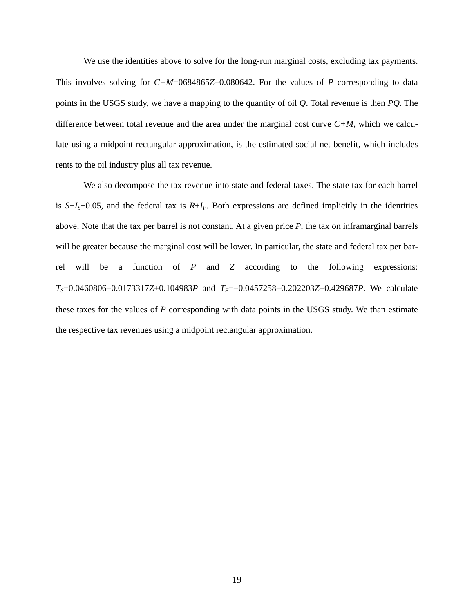We use the identities above to solve for the long-run marginal costs, excluding tax payments. This involves solving for *C+M*=0684865*Z*−0.080642. For the values of *P* corresponding to data points in the USGS study, we have a mapping to the quantity of oil *Q*. Total revenue is then *PQ*. The difference between total revenue and the area under the marginal cost curve *C+M*, which we calculate using a midpoint rectangular approximation, is the estimated social net benefit, which includes rents to the oil industry plus all tax revenue.

We also decompose the tax revenue into state and federal taxes. The state tax for each barrel is  $S+I_S+0.05$ , and the federal tax is  $R+I_F$ . Both expressions are defined implicitly in the identities above. Note that the tax per barrel is not constant. At a given price *P*, the tax on inframarginal barrels will be greater because the marginal cost will be lower. In particular, the state and federal tax per barrel will be a function of *P* and *Z* according to the following expressions: *T<sub>S</sub>*=0.0460806−0.0173317*Z*+0.104983*P* and *T<sub>F</sub>*=−0.0457258−0.202203*Z*+0.429687*P*. We calculate these taxes for the values of *P* corresponding with data points in the USGS study. We than estimate the respective tax revenues using a midpoint rectangular approximation.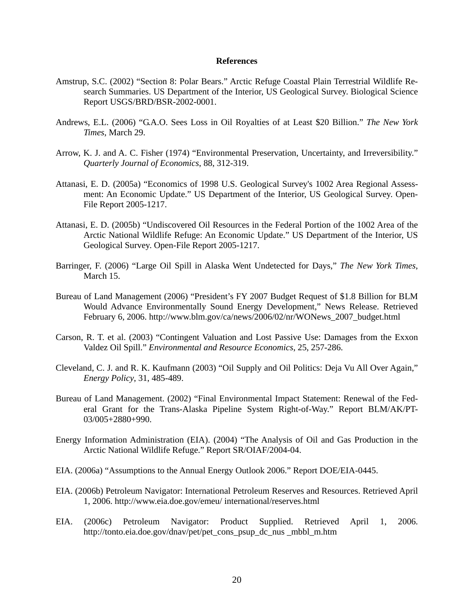## **References**

- Amstrup, S.C. (2002) "Section 8: Polar Bears." Arctic Refuge Coastal Plain Terrestrial Wildlife Research Summaries. US Department of the Interior, US Geological Survey. Biological Science Report USGS/BRD/BSR-2002-0001.
- Andrews, E.L. (2006) "G.A.O. Sees Loss in Oil Royalties of at Least \$20 Billion." *The New York Times*, March 29.
- Arrow, K. J. and A. C. Fisher (1974) "Environmental Preservation, Uncertainty, and Irreversibility." *Quarterly Journal of Economics*, 88, 312-319.
- Attanasi, E. D. (2005a) "Economics of 1998 U.S. Geological Survey's 1002 Area Regional Assessment: An Economic Update." US Department of the Interior, US Geological Survey. Open-File Report 2005-1217.
- Attanasi, E. D. (2005b) "Undiscovered Oil Resources in the Federal Portion of the 1002 Area of the Arctic National Wildlife Refuge: An Economic Update." US Department of the Interior, US Geological Survey. Open-File Report 2005-1217.
- Barringer, F. (2006) "Large Oil Spill in Alaska Went Undetected for Days," *The New York Times*, March 15.
- Bureau of Land Management (2006) "President's FY 2007 Budget Request of \$1.8 Billion for BLM Would Advance Environmentally Sound Energy Development," News Release. Retrieved February 6, 2006. http://www.blm.gov/ca/news/2006/02/nr/WONews\_2007\_budget.html
- Carson, R. T. et al. (2003) "Contingent Valuation and Lost Passive Use: Damages from the Exxon Valdez Oil Spill." *Environmental and Resource Economics*, 25, 257-286.
- Cleveland, C. J. and R. K. Kaufmann (2003) "Oil Supply and Oil Politics: Deja Vu All Over Again," *Energy Policy*, 31, 485-489.
- Bureau of Land Management. (2002) "Final Environmental Impact Statement: Renewal of the Federal Grant for the Trans-Alaska Pipeline System Right-of-Way." Report BLM/AK/PT-03/005+2880+990.
- Energy Information Administration (EIA). (2004) "The Analysis of Oil and Gas Production in the Arctic National Wildlife Refuge." Report SR/OIAF/2004-04.
- EIA. (2006a) "Assumptions to the Annual Energy Outlook 2006." Report DOE/EIA-0445.
- EIA. (2006b) Petroleum Navigator: International Petroleum Reserves and Resources. Retrieved April 1, 2006. http://www.eia.doe.gov/emeu/ international/reserves.html
- EIA. (2006c) Petroleum Navigator: Product Supplied. Retrieved April 1, 2006. http://tonto.eia.doe.gov/dnav/pet/pet\_cons\_psup\_dc\_nus \_mbbl\_m.htm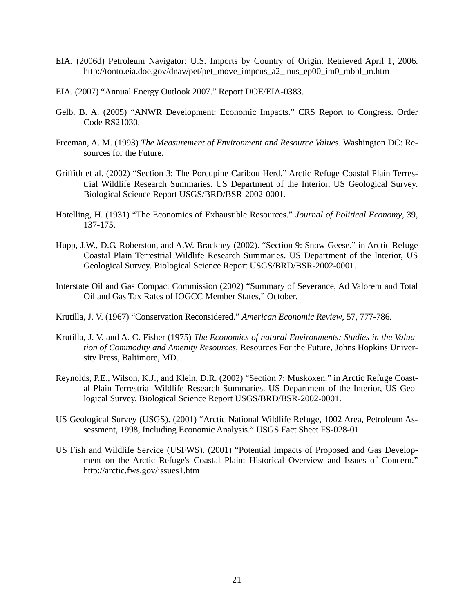- EIA. (2006d) Petroleum Navigator: U.S. Imports by Country of Origin. Retrieved April 1, 2006. http://tonto.eia.doe.gov/dnav/pet/pet\_move\_impcus\_a2\_ nus\_ep00\_im0\_mbbl\_m.htm
- EIA. (2007) "Annual Energy Outlook 2007." Report DOE/EIA-0383.
- Gelb, B. A. (2005) "ANWR Development: Economic Impacts." CRS Report to Congress. Order Code RS21030.
- Freeman, A. M. (1993) *The Measurement of Environment and Resource Values*. Washington DC: Resources for the Future.
- Griffith et al. (2002) "Section 3: The Porcupine Caribou Herd." Arctic Refuge Coastal Plain Terrestrial Wildlife Research Summaries. US Department of the Interior, US Geological Survey. Biological Science Report USGS/BRD/BSR-2002-0001.
- Hotelling, H. (1931) "The Economics of Exhaustible Resources." *Journal of Political Economy*, 39, 137-175.
- Hupp, J.W., D.G. Roberston, and A.W. Brackney (2002). "Section 9: Snow Geese." in Arctic Refuge Coastal Plain Terrestrial Wildlife Research Summaries. US Department of the Interior, US Geological Survey. Biological Science Report USGS/BRD/BSR-2002-0001.
- Interstate Oil and Gas Compact Commission (2002) "Summary of Severance, Ad Valorem and Total Oil and Gas Tax Rates of IOGCC Member States," October.
- Krutilla, J. V. (1967) "Conservation Reconsidered." *American Economic Review*, 57, 777-786.
- Krutilla, J. V. and A. C. Fisher (1975) *The Economics of natural Environments: Studies in the Valuation of Commodity and Amenity Resources*, Resources For the Future, Johns Hopkins University Press, Baltimore, MD.
- Reynolds, P.E., Wilson, K.J., and Klein, D.R. (2002) "Section 7: Muskoxen." in Arctic Refuge Coastal Plain Terrestrial Wildlife Research Summaries. US Department of the Interior, US Geological Survey. Biological Science Report USGS/BRD/BSR-2002-0001.
- US Geological Survey (USGS). (2001) "Arctic National Wildlife Refuge, 1002 Area, Petroleum Assessment, 1998, Including Economic Analysis." USGS Fact Sheet FS-028-01.
- US Fish and Wildlife Service (USFWS). (2001) "Potential Impacts of Proposed and Gas Development on the Arctic Refuge's Coastal Plain: Historical Overview and Issues of Concern." http://arctic.fws.gov/issues1.htm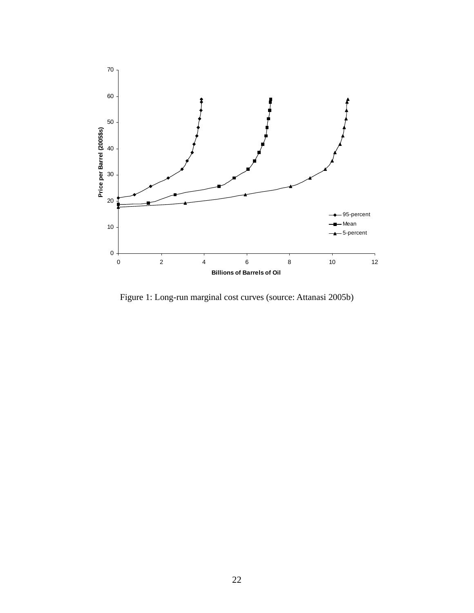

Figure 1: Long-run marginal cost curves (source: Attanasi 2005b)